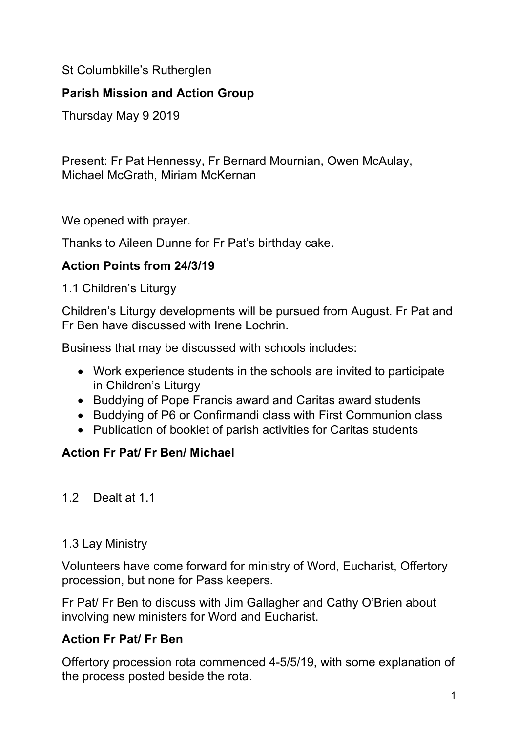St Columbkille's Rutherglen

## **Parish Mission and Action Group**

Thursday May 9 2019

Present: Fr Pat Hennessy, Fr Bernard Mournian, Owen McAulay, Michael McGrath, Miriam McKernan

We opened with prayer.

Thanks to Aileen Dunne for Fr Pat's birthday cake.

## **Action Points from 24/3/19**

1.1 Children's Liturgy

Children's Liturgy developments will be pursued from August. Fr Pat and Fr Ben have discussed with Irene Lochrin.

Business that may be discussed with schools includes:

- Work experience students in the schools are invited to participate in Children's Liturgy
- Buddying of Pope Francis award and Caritas award students
- Buddying of P6 or Confirmandi class with First Communion class
- Publication of booklet of parish activities for Caritas students

# **Action Fr Pat/ Fr Ben/ Michael**

1.2 Dealt at 1.1

## 1.3 Lay Ministry

Volunteers have come forward for ministry of Word, Eucharist, Offertory procession, but none for Pass keepers.

Fr Pat/ Fr Ben to discuss with Jim Gallagher and Cathy O'Brien about involving new ministers for Word and Eucharist.

# **Action Fr Pat/ Fr Ben**

Offertory procession rota commenced 4-5/5/19, with some explanation of the process posted beside the rota.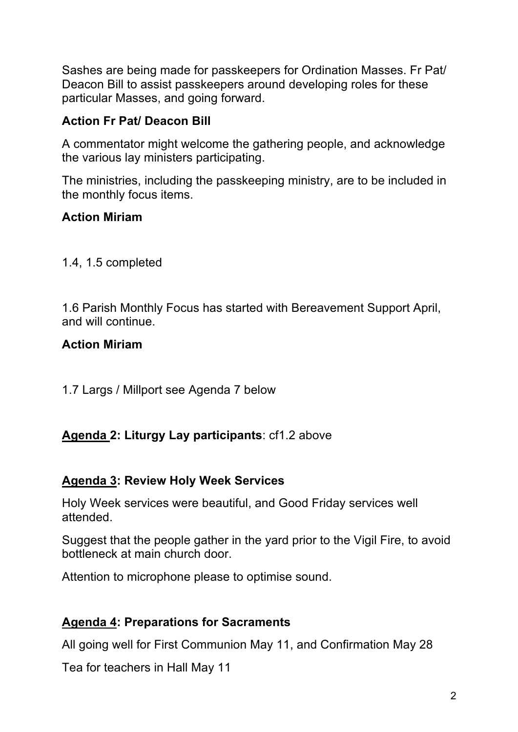Sashes are being made for passkeepers for Ordination Masses. Fr Pat/ Deacon Bill to assist passkeepers around developing roles for these particular Masses, and going forward.

# **Action Fr Pat/ Deacon Bill**

A commentator might welcome the gathering people, and acknowledge the various lay ministers participating.

The ministries, including the passkeeping ministry, are to be included in the monthly focus items.

# **Action Miriam**

1.4, 1.5 completed

1.6 Parish Monthly Focus has started with Bereavement Support April, and will continue.

# **Action Miriam**

1.7 Largs / Millport see Agenda 7 below

# **Agenda 2: Liturgy Lay participants**: cf1.2 above

# **Agenda 3: Review Holy Week Services**

Holy Week services were beautiful, and Good Friday services well attended.

Suggest that the people gather in the yard prior to the Vigil Fire, to avoid bottleneck at main church door.

Attention to microphone please to optimise sound.

# **Agenda 4: Preparations for Sacraments**

All going well for First Communion May 11, and Confirmation May 28

Tea for teachers in Hall May 11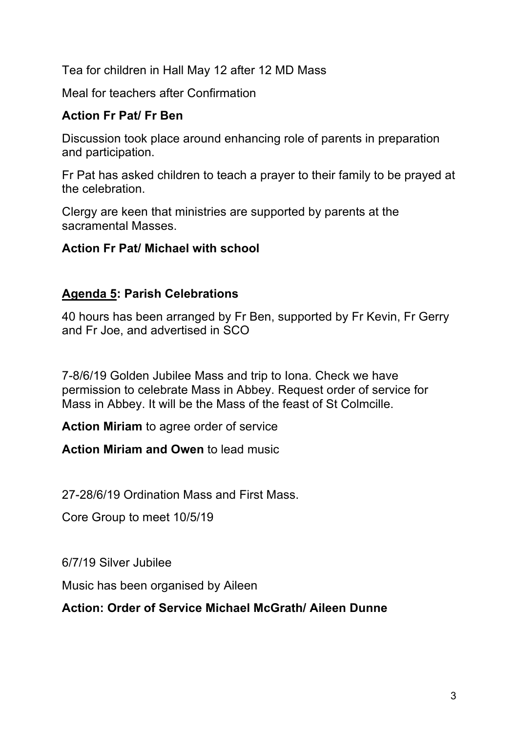Tea for children in Hall May 12 after 12 MD Mass

Meal for teachers after Confirmation

## **Action Fr Pat/ Fr Ben**

Discussion took place around enhancing role of parents in preparation and participation.

Fr Pat has asked children to teach a prayer to their family to be prayed at the celebration.

Clergy are keen that ministries are supported by parents at the sacramental Masses.

## **Action Fr Pat/ Michael with school**

# **Agenda 5: Parish Celebrations**

40 hours has been arranged by Fr Ben, supported by Fr Kevin, Fr Gerry and Fr Joe, and advertised in SCO

7-8/6/19 Golden Jubilee Mass and trip to Iona. Check we have permission to celebrate Mass in Abbey. Request order of service for Mass in Abbey. It will be the Mass of the feast of St Colmcille.

**Action Miriam** to agree order of service

**Action Miriam and Owen** to lead music

27-28/6/19 Ordination Mass and First Mass.

Core Group to meet 10/5/19

6/7/19 Silver Jubilee

Music has been organised by Aileen

## **Action: Order of Service Michael McGrath/ Aileen Dunne**